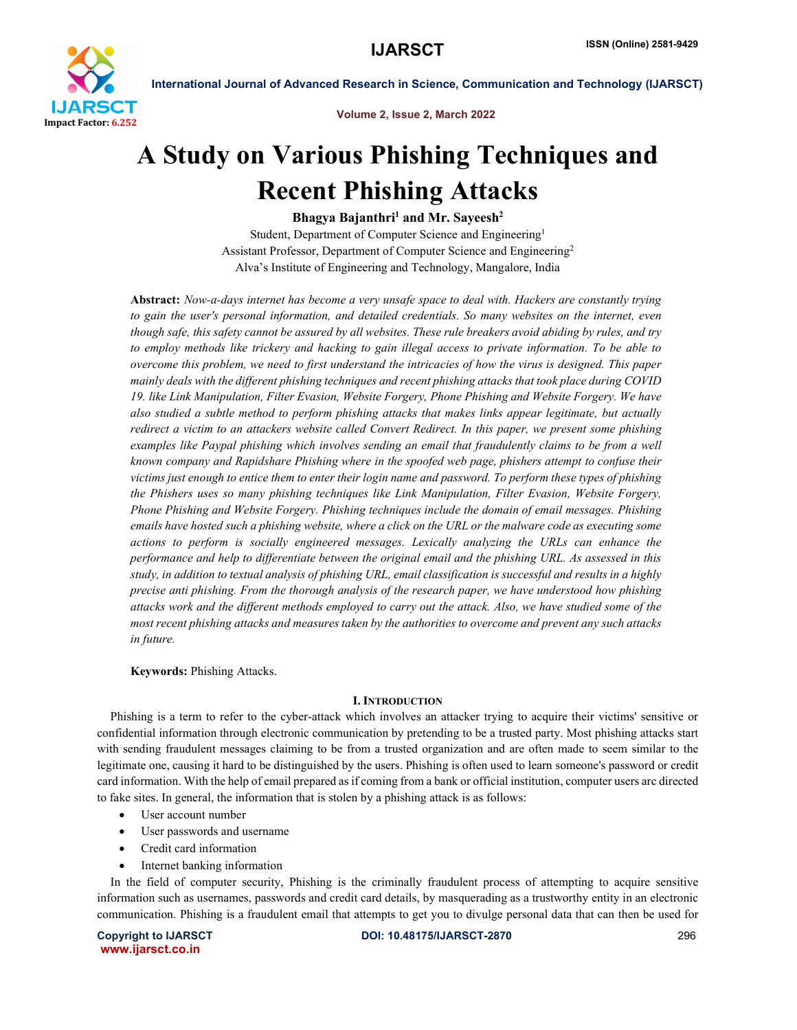

Volume 2, Issue 2, March 2022

# A Study on Various Phishing Techniques and Recent Phishing Attacks

Bhagya Bajanthri<sup>1</sup> and Mr. Sayeesh<sup>2</sup>

Student, Department of Computer Science and Engineering1 Assistant Professor, Department of Computer Science and Engineering2 Alva's Institute of Engineering and Technology, Mangalore, India

Abstract: *Now-a-days internet has become a very unsafe space to deal with. Hackers are constantly trying to gain the user's personal information, and detailed credentials. So many websites on the internet, even though safe, this safety cannot be assured by all websites. These rule breakers avoid abiding by rules, and try to employ methods like trickery and hacking to gain illegal access to private information. To be able to overcome this problem, we need to first understand the intricacies of how the virus is designed. This paper mainly deals with the different phishing techniques and recent phishing attacks that took place during COVID 19. like Link Manipulation, Filter Evasion, Website Forgery, Phone Phishing and Website Forgery. We have also studied a subtle method to perform phishing attacks that makes links appear legitimate, but actually redirect a victim to an attackers website called Convert Redirect. In this paper, we present some phishing examples like Paypal phishing which involves sending an email that fraudulently claims to be from a well known company and Rapidshare Phishing where in the spoofed web page, phishers attempt to confuse their victims just enough to entice them to enter their login name and password. To perform these types of phishing the Phishers uses so many phishing techniques like Link Manipulation, Filter Evasion, Website Forgery, Phone Phishing and Website Forgery. Phishing techniques include the domain of email messages. Phishing emails have hosted such a phishing website, where a click on the URL or the malware code as executing some actions to perform is socially engineered messages. Lexically analyzing the URLs can enhance the performance and help to differentiate between the original email and the phishing URL. As assessed in this study, in addition to textual analysis of phishing URL, email classification is successful and results in a highly precise anti phishing. From the thorough analysis of the research paper, we have understood how phishing attacks work and the different methods employed to carry out the attack. Also, we have studied some of the most recent phishing attacks and measures taken by the authorities to overcome and prevent any such attacks in future.*

Keywords: Phishing Attacks.

# I. INTRODUCTION

Phishing is a term to refer to the cyber-attack which involves an attacker trying to acquire their victims' sensitive or confidential information through electronic communication by pretending to be a trusted party. Most phishing attacks start with sending fraudulent messages claiming to be from a trusted organization and are often made to seem similar to the legitimate one, causing it hard to be distinguished by the users. Phishing is often used to learn someone's password or credit card information. With the help of email prepared as if coming from a bank or official institution, computer users arc directed to fake sites. In general, the information that is stolen by a phishing attack is as follows:

- User account number
- User passwords and username
- Credit card information
- Internet banking information

In the field of computer security, Phishing is the criminally fraudulent process of attempting to acquire sensitive information such as usernames, passwords and credit card details, by masquerading as a trustworthy entity in an electronic communication. Phishing is a fraudulent email that attempts to get you to divulge personal data that can then be used for

www.ijarsct.co.in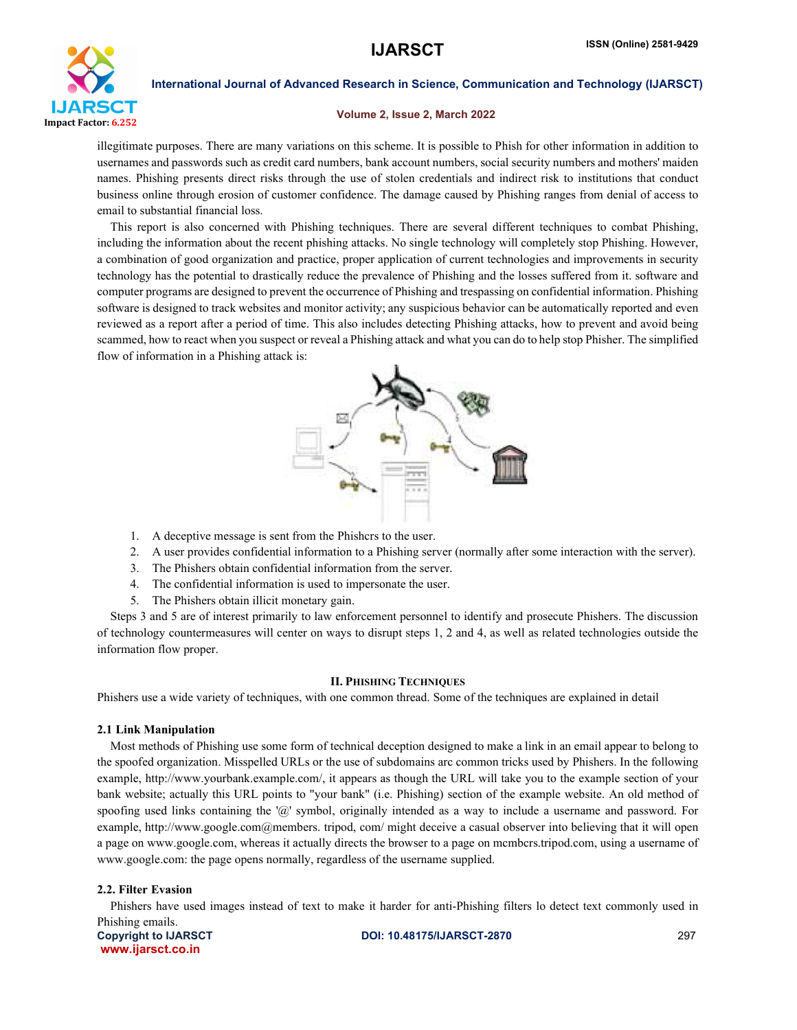

# Volume 2, Issue 2, March 2022

illegitimate purposes. There are many variations on this scheme. It is possible to Phish for other information in addition to usernames and passwords such as credit card numbers, bank account numbers, social security numbers and mothers' maiden names. Phishing presents direct risks through the use of stolen credentials and indirect risk to institutions that conduct business online through erosion of customer confidence. The damage caused by Phishing ranges from denial of access to email to substantial financial loss.

This report is also concerned with Phishing techniques. There are several different techniques to combat Phishing, including the information about the recent phishing attacks. No single technology will completely stop Phishing. However, a combination of good organization and practice, proper application of current technologies and improvements in security technology has the potential to drastically reduce the prevalence of Phishing and the losses suffered from it. software and computer programs are designed to prevent the occurrence of Phishing and trespassing on confidential information. Phishing software is designed to track websites and monitor activity; any suspicious behavior can be automatically reported and even reviewed as a report after a period of time. This also includes detecting Phishing attacks, how to prevent and avoid being scammed, how to react when you suspect or reveal a Phishing attack and what you can do to help stop Phisher. The simplified flow of information in a Phishing attack is:



- 1. A deceptive message is sent from the Phishcrs to the user.
- 2. A user provides confidential information to a Phishing server (normally after some interaction with the server).
- 3. The Phishers obtain confidential information from the server.
- 4. The confidential information is used to impersonate the user.
- 5. The Phishers obtain illicit monetary gain.

Steps 3 and 5 are of interest primarily to law enforcement personnel to identify and prosecute Phishers. The discussion of technology countermeasures will center on ways to disrupt steps 1, 2 and 4, as well as related technologies outside the information flow proper.

#### II. PHISHING TECHNIQUES

Phishers use a wide variety of techniques, with one common thread. Some of the techniques are explained in detail

# 2.1 Link Manipulation

Most methods of Phishing use some form of technical deception designed to make a link in an email appear to belong to the spoofed organization. Misspelled URLs or the use of subdomains arc common tricks used by Phishers. In the following example, http://www.yourbank.example.com/, it appears as though the URL will take you to the example section of your bank website; actually this URL points to "your bank" (i.e. Phishing) section of the example website. An old method of spoofing used links containing the '@' symbol, originally intended as a way to include a username and password. For example, http://www.google.com@members. tripod, com/ might deceive a casual observer into believing that it will open a page on www.google.com, whereas it actually directs the browser to a page on mcmbcrs.tripod.com, using a username of www.google.com: the page opens normally, regardless of the username supplied.

# 2.2. Filter Evasion

Phishers have used images instead of text to make it harder for anti-Phishing filters lo detect text commonly used in Phishing emails.

www.ijarsct.co.in

Copyright to IJARSCT **DOI: 10.48175/IJARSCT-2870** 297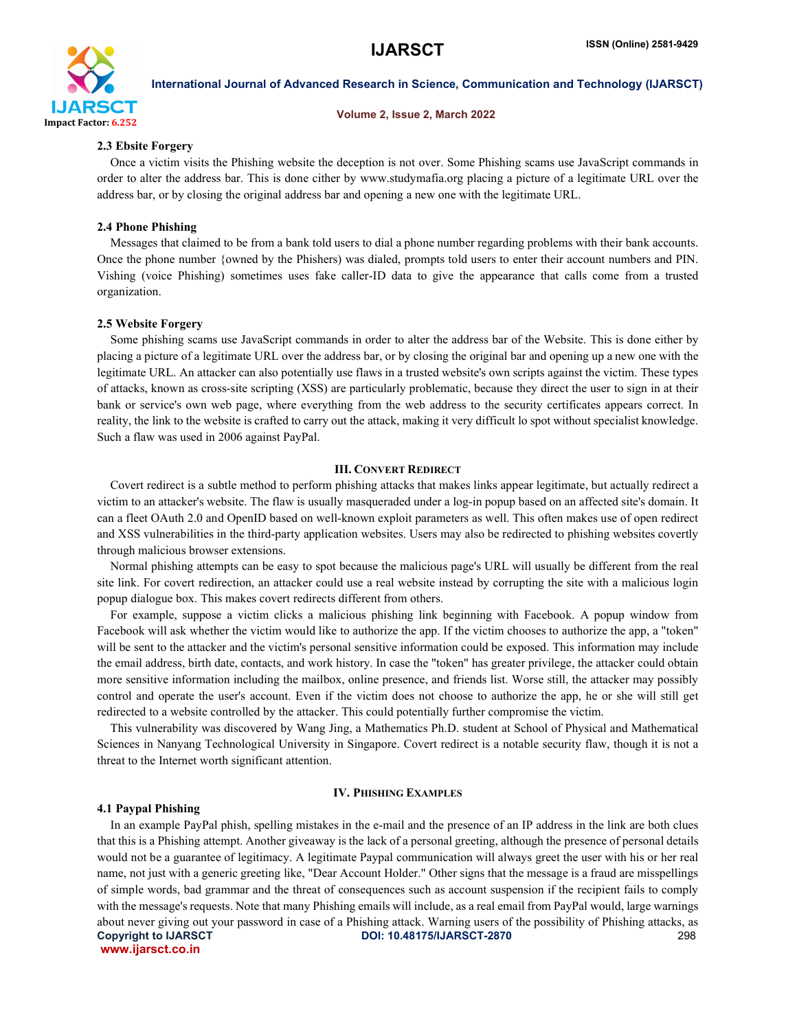

#### Volume 2, Issue 2, March 2022

#### 2.3 Ebsite Forgery

Once a victim visits the Phishing website the deception is not over. Some Phishing scams use JavaScript commands in order to alter the address bar. This is done cither by www.studymafia.org placing a picture of a legitimate URL over the address bar, or by closing the original address bar and opening a new one with the legitimate URL.

#### 2.4 Phone Phishing

Messages that claimed to be from a bank told users to dial a phone number regarding problems with their bank accounts. Once the phone number {owned by the Phishers) was dialed, prompts told users to enter their account numbers and PIN. Vishing (voice Phishing) sometimes uses fake caller-ID data to give the appearance that calls come from a trusted organization.

#### 2.5 Website Forgery

Some phishing scams use JavaScript commands in order to alter the address bar of the Website. This is done either by placing a picture of a legitimate URL over the address bar, or by closing the original bar and opening up a new one with the legitimate URL. An attacker can also potentially use flaws in a trusted website's own scripts against the victim. These types of attacks, known as cross-site scripting (XSS) are particularly problematic, because they direct the user to sign in at their bank or service's own web page, where everything from the web address to the security certificates appears correct. In reality, the link to the website is crafted to carry out the attack, making it very difficult lo spot without specialist knowledge. Such a flaw was used in 2006 against PayPal.

#### III. CONVERT REDIRECT

Covert redirect is a subtle method to perform phishing attacks that makes links appear legitimate, but actually redirect a victim to an attacker's website. The flaw is usually masqueraded under a log-in popup based on an affected site's domain. It can a fleet OAuth 2.0 and OpenID based on well-known exploit parameters as well. This often makes use of open redirect and XSS vulnerabilities in the third-party application websites. Users may also be redirected to phishing websites covertly through malicious browser extensions.

Normal phishing attempts can be easy to spot because the malicious page's URL will usually be different from the real site link. For covert redirection, an attacker could use a real website instead by corrupting the site with a malicious login popup dialogue box. This makes covert redirects different from others.

For example, suppose a victim clicks a malicious phishing link beginning with Facebook. A popup window from Facebook will ask whether the victim would like to authorize the app. If the victim chooses to authorize the app, a "token" will be sent to the attacker and the victim's personal sensitive information could be exposed. This information may include the email address, birth date, contacts, and work history. In case the "token" has greater privilege, the attacker could obtain more sensitive information including the mailbox, online presence, and friends list. Worse still, the attacker may possibly control and operate the user's account. Even if the victim does not choose to authorize the app, he or she will still get redirected to a website controlled by the attacker. This could potentially further compromise the victim.

This vulnerability was discovered by Wang Jing, a Mathematics Ph.D. student at School of Physical and Mathematical Sciences in Nanyang Technological University in Singapore. Covert redirect is a notable security flaw, though it is not a threat to the Internet worth significant attention.

# IV. PHISHING EXAMPLES

#### 4.1 Paypal Phishing

Copyright to IJARSCT **DOI: 10.48175/IJARSCT-2870** 298 www.ijarsct.co.in In an example PayPal phish, spelling mistakes in the e-mail and the presence of an IP address in the link are both clues that this is a Phishing attempt. Another giveaway is the lack of a personal greeting, although the presence of personal details would not be a guarantee of legitimacy. A legitimate Paypal communication will always greet the user with his or her real name, not just with a generic greeting like, "Dear Account Holder." Other signs that the message is a fraud are misspellings of simple words, bad grammar and the threat of consequences such as account suspension if the recipient fails to comply with the message's requests. Note that many Phishing emails will include, as a real email from PayPal would, large warnings about never giving out your password in case of a Phishing attack. Warning users of the possibility of Phishing attacks, as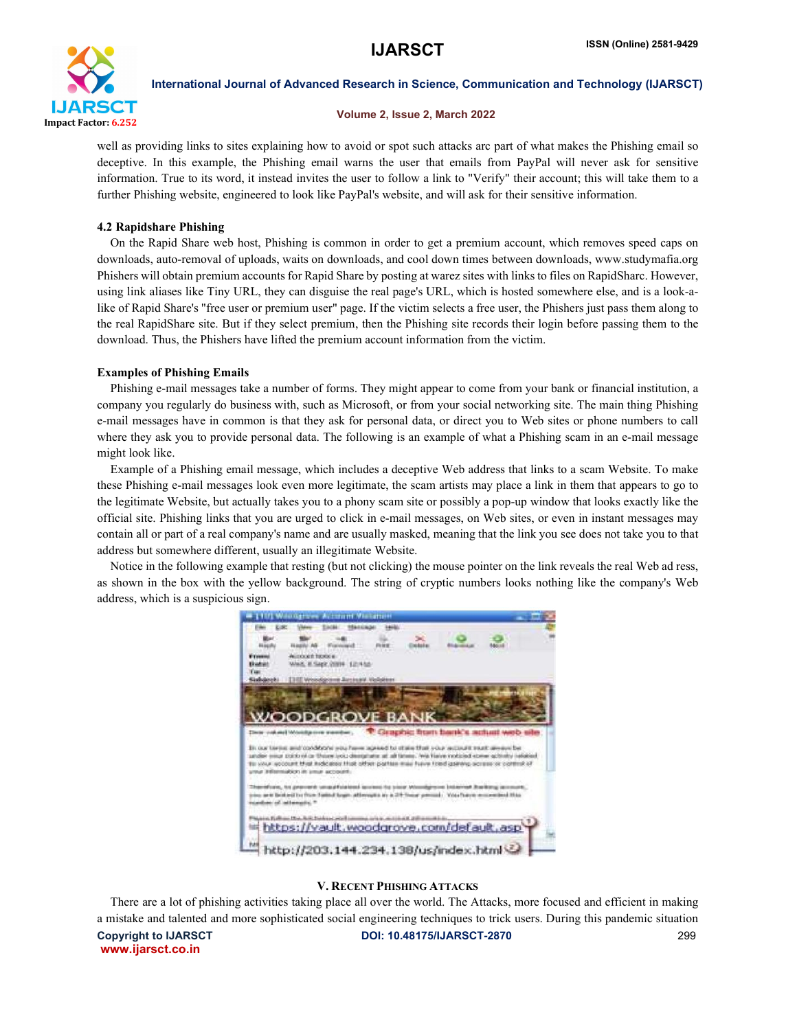

# Volume 2, Issue 2, March 2022

well as providing links to sites explaining how to avoid or spot such attacks arc part of what makes the Phishing email so deceptive. In this example, the Phishing email warns the user that emails from PayPal will never ask for sensitive information. True to its word, it instead invites the user to follow a link to "Verify" their account; this will take them to a further Phishing website, engineered to look like PayPal's website, and will ask for their sensitive information.

# 4.2 Rapidshare Phishing

On the Rapid Share web host, Phishing is common in order to get a premium account, which removes speed caps on downloads, auto-removal of uploads, waits on downloads, and cool down times between downloads, www.studymafia.org Phishers will obtain premium accounts for Rapid Share by posting at warez sites with links to files on RapidSharc. However, using link aliases like Tiny URL, they can disguise the real page's URL, which is hosted somewhere else, and is a look-alike of Rapid Share's "free user or premium user" page. If the victim selects a free user, the Phishers just pass them along to the real RapidShare site. But if they select premium, then the Phishing site records their login before passing them to the download. Thus, the Phishers have lifted the premium account information from the victim.

#### Examples of Phishing Emails

Phishing e-mail messages take a number of forms. They might appear to come from your bank or financial institution, a company you regularly do business with, such as Microsoft, or from your social networking site. The main thing Phishing e-mail messages have in common is that they ask for personal data, or direct you to Web sites or phone numbers to call where they ask you to provide personal data. The following is an example of what a Phishing scam in an e-mail message might look like.

Example of a Phishing email message, which includes a deceptive Web address that links to a scam Website. To make these Phishing e-mail messages look even more legitimate, the scam artists may place a link in them that appears to go to the legitimate Website, but actually takes you to a phony scam site or possibly a pop-up window that looks exactly like the official site. Phishing links that you are urged to click in e-mail messages, on Web sites, or even in instant messages may contain all or part of a real company's name and are usually masked, meaning that the link you see does not take you to that address but somewhere different, usually an illegitimate Website.

Notice in the following example that resting (but not clicking) the mouse pointer on the link reveals the real Web ad ress, as shown in the box with the yellow background. The string of cryptic numbers looks nothing like the company's Web address, which is a suspicious sign.



#### V. RECENT PHISHING ATTACKS

Copyright to IJARSCT DOI: 10.48175/IJARSCT-2870 299 www.ijarsct.co.in There are a lot of phishing activities taking place all over the world. The Attacks, more focused and efficient in making a mistake and talented and more sophisticated social engineering techniques to trick users. During this pandemic situation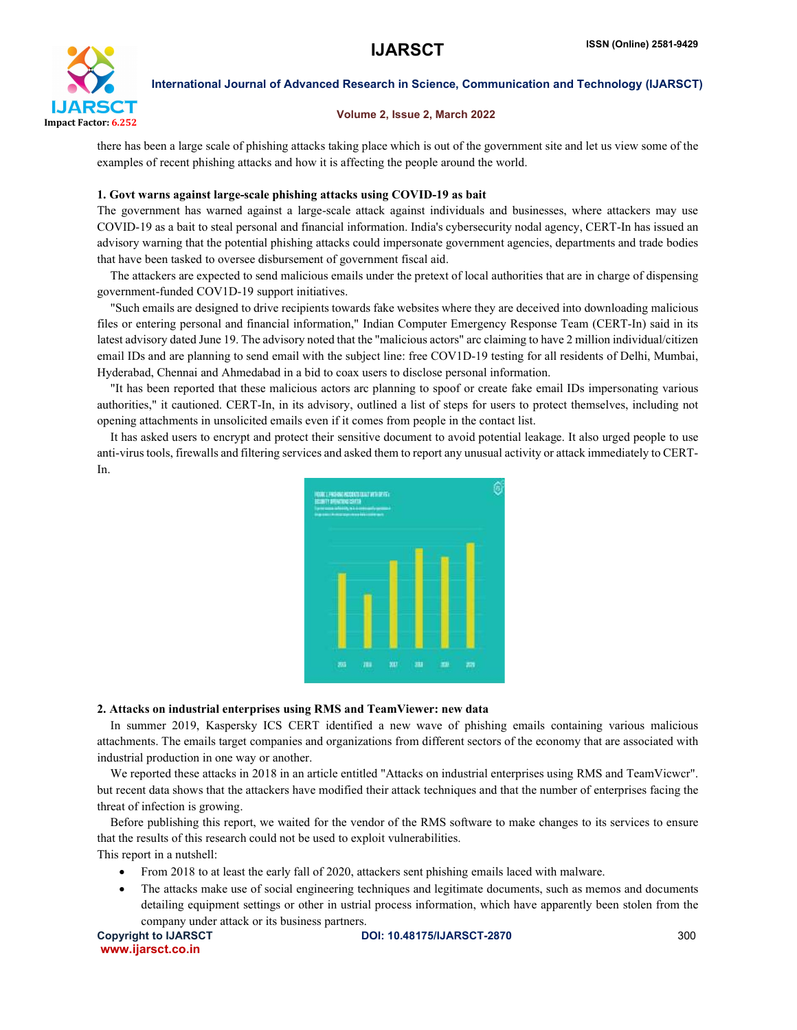

# Volume 2, Issue 2, March 2022

there has been a large scale of phishing attacks taking place which is out of the government site and let us view some of the examples of recent phishing attacks and how it is affecting the people around the world.

# 1. Govt warns against large-scale phishing attacks using COVID-19 as bait

The government has warned against a large-scale attack against individuals and businesses, where attackers may use COVID-19 as a bait to steal personal and financial information. India's cybersecurity nodal agency, CERT-In has issued an advisory warning that the potential phishing attacks could impersonate government agencies, departments and trade bodies that have been tasked to oversee disbursement of government fiscal aid.

The attackers are expected to send malicious emails under the pretext of local authorities that are in charge of dispensing government-funded COV1D-19 support initiatives.

"Such emails are designed to drive recipients towards fake websites where they are deceived into downloading malicious files or entering personal and financial information," Indian Computer Emergency Response Team (CERT-In) said in its latest advisory dated June 19. The advisory noted that the "malicious actors" arc claiming to have 2 million individual/citizen email IDs and are planning to send email with the subject line: free COV1D-19 testing for all residents of Delhi, Mumbai, Hyderabad, Chennai and Ahmedabad in a bid to coax users to disclose personal information.

"It has been reported that these malicious actors arc planning to spoof or create fake email IDs impersonating various authorities," it cautioned. CERT-In, in its advisory, outlined a list of steps for users to protect themselves, including not opening attachments in unsolicited emails even if it comes from people in the contact list.

It has asked users to encrypt and protect their sensitive document to avoid potential leakage. It also urged people to use anti-virus tools, firewalls and filtering services and asked them to report any unusual activity or attack immediately to CERT-In.



#### 2. Attacks on industrial enterprises using RMS and TeamViewer: new data

In summer 2019, Kaspersky ICS CERT identified a new wave of phishing emails containing various malicious attachments. The emails target companies and organizations from different sectors of the economy that are associated with industrial production in one way or another.

We reported these attacks in 2018 in an article entitled "Attacks on industrial enterprises using RMS and TeamVicwcr". but recent data shows that the attackers have modified their attack techniques and that the number of enterprises facing the threat of infection is growing.

Before publishing this report, we waited for the vendor of the RMS software to make changes to its services to ensure that the results of this research could not be used to exploit vulnerabilities.

This report in a nutshell:

- From 2018 to at least the early fall of 2020, attackers sent phishing emails laced with malware.
- The attacks make use of social engineering techniques and legitimate documents, such as memos and documents detailing equipment settings or other in ustrial process information, which have apparently been stolen from the company under attack or its business partners.

www.ijarsct.co.in

Copyright to IJARSCT DOI: 10.48175/IJARSCT-2870 300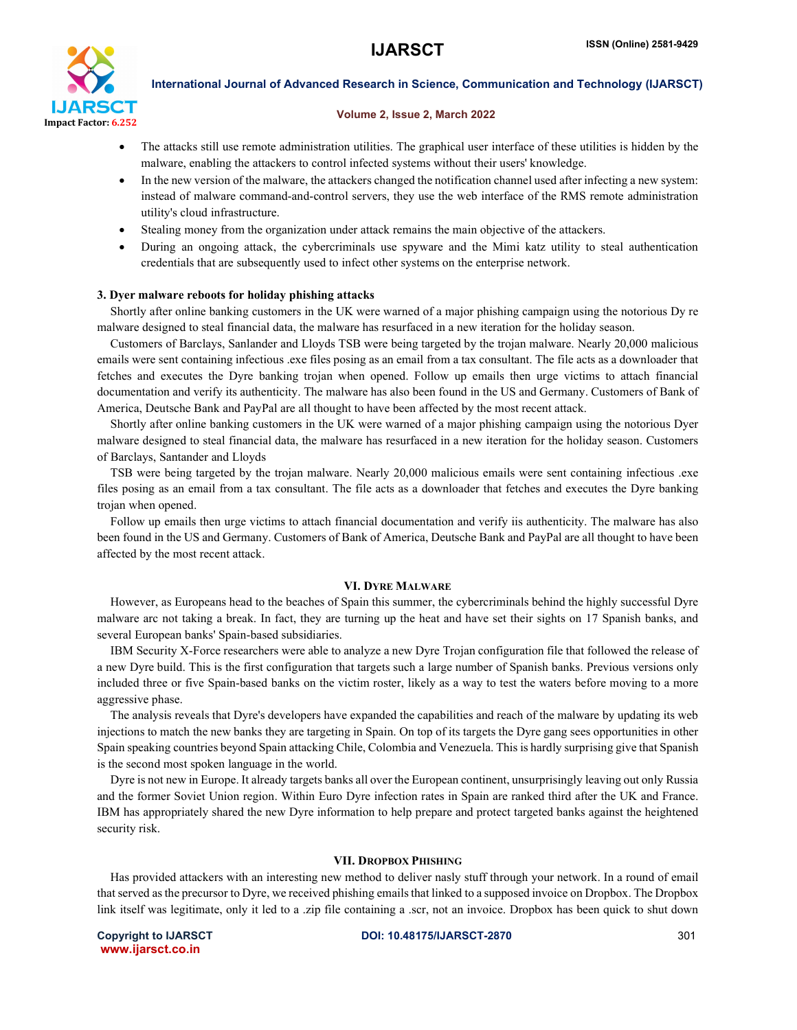

# Volume 2, Issue 2, March 2022

- The attacks still use remote administration utilities. The graphical user interface of these utilities is hidden by the malware, enabling the attackers to control infected systems without their users' knowledge.
- In the new version of the malware, the attackers changed the notification channel used after infecting a new system: instead of malware command-and-control servers, they use the web interface of the RMS remote administration utility's cloud infrastructure.
- Stealing money from the organization under attack remains the main objective of the attackers.
- During an ongoing attack, the cybercriminals use spyware and the Mimi katz utility to steal authentication credentials that are subsequently used to infect other systems on the enterprise network.

#### 3. Dyer malware reboots for holiday phishing attacks

Shortly after online banking customers in the UK were warned of a major phishing campaign using the notorious Dy re malware designed to steal financial data, the malware has resurfaced in a new iteration for the holiday season.

Customers of Barclays, Sanlander and Lloyds TSB were being targeted by the trojan malware. Nearly 20,000 malicious emails were sent containing infectious .exe files posing as an email from a tax consultant. The file acts as a downloader that fetches and executes the Dyre banking trojan when opened. Follow up emails then urge victims to attach financial documentation and verify its authenticity. The malware has also been found in the US and Germany. Customers of Bank of America, Deutsche Bank and PayPal are all thought to have been affected by the most recent attack.

Shortly after online banking customers in the UK were warned of a major phishing campaign using the notorious Dyer malware designed to steal financial data, the malware has resurfaced in a new iteration for the holiday season. Customers of Barclays, Santander and Lloyds

TSB were being targeted by the trojan malware. Nearly 20,000 malicious emails were sent containing infectious .exe files posing as an email from a tax consultant. The file acts as a downloader that fetches and executes the Dyre banking trojan when opened.

Follow up emails then urge victims to attach financial documentation and verify iis authenticity. The malware has also been found in the US and Germany. Customers of Bank of America, Deutsche Bank and PayPal are all thought to have been affected by the most recent attack.

#### VI. DYRE MALWARE

However, as Europeans head to the beaches of Spain this summer, the cybercriminals behind the highly successful Dyre malware arc not taking a break. In fact, they are turning up the heat and have set their sights on 17 Spanish banks, and several European banks' Spain-based subsidiaries.

IBM Security X-Force researchers were able to analyze a new Dyre Trojan configuration file that followed the release of a new Dyre build. This is the first configuration that targets such a large number of Spanish banks. Previous versions only included three or five Spain-based banks on the victim roster, likely as a way to test the waters before moving to a more aggressive phase.

The analysis reveals that Dyre's developers have expanded the capabilities and reach of the malware by updating its web injections to match the new banks they are targeting in Spain. On top of its targets the Dyre gang sees opportunities in other Spain speaking countries beyond Spain attacking Chile, Colombia and Venezuela. This is hardly surprising give that Spanish is the second most spoken language in the world.

Dyre is not new in Europe. It already targets banks all over the European continent, unsurprisingly leaving out only Russia and the former Soviet Union region. Within Euro Dyre infection rates in Spain are ranked third after the UK and France. IBM has appropriately shared the new Dyre information to help prepare and protect targeted banks against the heightened security risk.

#### VII. DROPBOX PHISHING

Has provided attackers with an interesting new method to deliver nasly stuff through your network. In a round of email that served as the precursor to Dyre, we received phishing emails that linked to a supposed invoice on Dropbox. The Dropbox link itself was legitimate, only it led to a .zip file containing a .scr, not an invoice. Dropbox has been quick to shut down

www.ijarsct.co.in